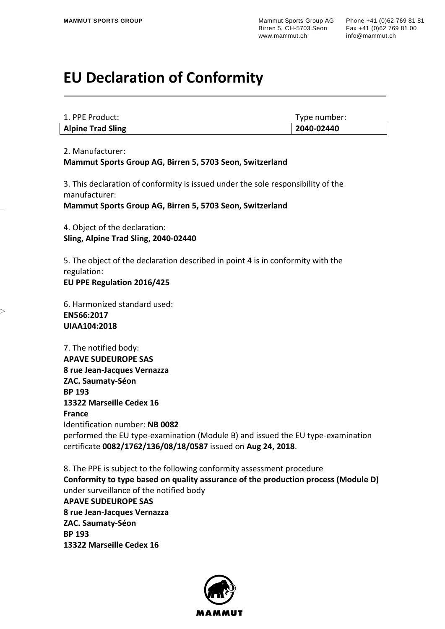## **EU Declaration of Conformity**

| <b>Alpine Trad Sling</b> | 2040-02440   |
|--------------------------|--------------|
| 1. PPE Product:          | Type number: |

2. Manufacturer:

**Mammut Sports Group AG, Birren 5, 5703 Seon, Switzerland**

3. This declaration of conformity is issued under the sole responsibility of the manufacturer:

**Mammut Sports Group AG, Birren 5, 5703 Seon, Switzerland**

4. Object of the declaration: **Sling, Alpine Trad Sling, 2040-02440**

5. The object of the declaration described in point 4 is in conformity with the regulation: **EU PPE Regulation 2016/425**

6. Harmonized standard used: **EN566:2017 UIAA104:2018**

7. The notified body: **APAVE SUDEUROPE SAS 8 rue Jean-Jacques Vernazza ZAC. Saumaty-Séon BP 193 13322 Marseille Cedex 16 France** Identification number: **NB 0082** performed the EU type-examination (Module B) and issued the EU type-examination certificate **0082/1762/136/08/18/0587** issued on **Aug 24, 2018**.

8. The PPE is subject to the following conformity assessment procedure **Conformity to type based on quality assurance of the production process (Module D)** under surveillance of the notified body **APAVE SUDEUROPE SAS 8 rue Jean-Jacques Vernazza ZAC. Saumaty-Séon BP 193 13322 Marseille Cedex 16**

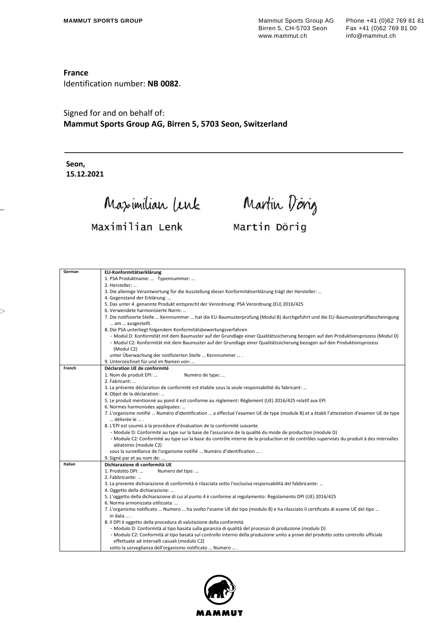## **France**

Identification number: **NB 0082**.

Signed for and on behalf of: **Mammut Sports Group AG, Birren 5, 5703 Seon, Switzerland**

**Seon, 15.12.2021**

 $>$ 

Maximilian Lenk

Martin Dorig

## Maximilian Lenk

Martin Dörig

| German  | EU-Konformitätserklärung                                                                                                                                                           |
|---------|------------------------------------------------------------------------------------------------------------------------------------------------------------------------------------|
|         | 1. PSA Produktname:  Typennummer:                                                                                                                                                  |
|         | 2. Hersteller:                                                                                                                                                                     |
|         | 3. Die alleinige Verantwortung für die Ausstellung dieser Konformitätserklärung trägt der Hersteller:                                                                              |
|         | 4. Gegenstand der Erklärung:                                                                                                                                                       |
|         | 5. Das unter 4. genannte Produkt entsprecht der Verordnung: PSA Verordnung (EU) 2016/425                                                                                           |
|         | 6. Verwendete harmonisierte Norm:                                                                                                                                                  |
|         | 7. Die notifizierte Stelle  Kennnummer  hat die EU-Baumusterprüfung (Modul B) durchgeführt und die EU-Baumusterprüfbescheinigung<br>am  ausgestellt.                               |
|         | 8. Die PSA unterliegt folgendem Konformitätsbewertungsverfahren                                                                                                                    |
|         | - Modul D: Konformität mit dem Baumuster auf der Grundlage einer Qualitätssicherung bezogen auf den Produktionsprozess (Modul D)                                                   |
|         | - Modul C2: Konformität mit dem Baumuster auf der Grundlage einer Qualitätssicherung bezogen auf den Produktionsprozess                                                            |
|         | (Modul C2)                                                                                                                                                                         |
|         | unter Überwachung der notifizierten Stelle  Kennnummer  .                                                                                                                          |
|         | 9. Unterzeichnet für und im Namen von:                                                                                                                                             |
| French  | Déclaration UE de conformité                                                                                                                                                       |
|         | 1. Nom de produit EPI:<br>Numéro de type:                                                                                                                                          |
|         | 2. Fabricant:                                                                                                                                                                      |
|         | 3. La présente déclaration de conformité est établie sous la seule responsabilité du fabricant:                                                                                    |
|         | 4. Objet de la déclaration:                                                                                                                                                        |
|         | 5. Le produit mentionné au point 4 est conforme au règlement: Règlement (UE) 2016/425 relatif aux EPI                                                                              |
|         | 6. Normes harmonisées appliquées:                                                                                                                                                  |
|         | 7. L'organisme notifié  Numéro d'identification  a effectué l'examen UE de type (module B) et a établi l'attestation d'examen UE de type<br>délivrée le  .                         |
|         | 8. L'EPI est soumis à la procédure d'évaluation de la conformité suivante                                                                                                          |
|         | - Module D: Conformité au type sur la base de l'assurance de la qualité du mode de production (module D)                                                                           |
|         | - Module C2: Conformité au type sur la base du contrôle interne de la production et de contrôles supervisés du produit à des intervalles<br>aléatoires (module C2)                 |
|         | sous la surveillance de l'organisme notifié  Numéro d'identification  .                                                                                                            |
|         | 9. Signé par et au nom de:                                                                                                                                                         |
| Italian | Dichiarazione di conformità UE                                                                                                                                                     |
|         | 1. Prodotto DPI:<br>Numero del tipo:                                                                                                                                               |
|         | 2. Fabbricante:                                                                                                                                                                    |
|         | 3. La presente dichiarazione di conformità è rilasciata sotto l'esclusiva responsabilità del fabbricante:                                                                          |
|         | 4. Oggetto della dichiarazione:                                                                                                                                                    |
|         | 5. L'oggetto della dichiarazione di cui al punto 4 è conforme al regolamento: Regolamento DPI (UE) 2016/425                                                                        |
|         | 6. Norma armonizzata utilizzata:                                                                                                                                                   |
|         | 7. L'organismo notificato  Numero  ha svolto l'esame UE del tipo (modulo B) e ha rilasciato il certificato di esame UE del tipo                                                    |
|         | in data                                                                                                                                                                            |
|         | 8. Il DPI è oggetto della procedura di valutazione della conformità                                                                                                                |
|         | - Modulo D: Conformità al tipo basata sulla garanzia di qualità del processo di produzione (modulo D)                                                                              |
|         | - Modulo C2: Conformità al tipo basata sul controllo interno della produzione unito a prove del prodotto sotto controllo ufficiale<br>effettuate ad intervalli casuali (modulo C2) |
|         | sotto la sorveglianza dell'organismo notificato  Numero  .                                                                                                                         |

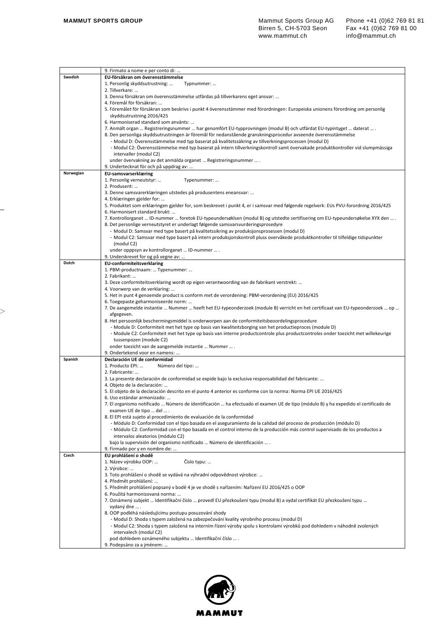|           | 9. Firmato a nome e per conto di:                                                                                                                                     |
|-----------|-----------------------------------------------------------------------------------------------------------------------------------------------------------------------|
| Swedish   | EU-försäkran om överensstämmelse                                                                                                                                      |
|           | 1. Personlig skyddsutrustning:<br>Typnummer:                                                                                                                          |
|           | 2. Tillverkare:                                                                                                                                                       |
|           | 3. Denna försäkran om överensstämmelse utfärdas på tillverkarens eget ansvar:                                                                                         |
|           | 4. Föremål för försäkran:                                                                                                                                             |
|           | 5. Föremålet för försäkran som beskrivs i punkt 4 överensstämmer med förordningen: Europeiska unionens förordning om personlig<br>skyddsutrustning 2016/425           |
|           | 6. Harmoniserad standard som använts:                                                                                                                                 |
|           | 7. Anmält organ  Registreringsnummer  har genomfört EU-typprovningen (modul B) och utfärdat EU-typintyget  daterat  .                                                 |
|           | 8. Den personliga skyddsutrustningen är föremål för nedanstående granskningsprocedur avseende överensstämmelse                                                        |
|           | - Modul D: Överensstämmelse med typ baserat på kvalitetssäkring av tillverkningsprocessen (modul D)                                                                   |
|           | - Modul C2: Överensstämmelse med typ baserat på intern tillverkningskontroll samt övervakade produktkontroller vid slumpmässiga                                       |
|           | intervaller (modul C2)                                                                                                                                                |
|           | under övervakning av det anmälda organet  Registreringsnummer  .                                                                                                      |
|           | 9. Undertecknat för och på uppdrag av:                                                                                                                                |
| Norwegian | EU-samsvarserklæring                                                                                                                                                  |
|           | 1. Personlig verneutstyr:<br>Typenummer:                                                                                                                              |
|           | 2. Produsent:                                                                                                                                                         |
|           | 3. Denne samsvarerklæringen utstedes på produsentens eneansvar:                                                                                                       |
|           | 4. Erklæringen gjelder for:                                                                                                                                           |
|           | 5. Produktet som erklæringen gjelder for, som beskrevet i punkt 4, er i samsvar med følgende regelverk: EUs PVU-forordning 2016/425<br>6. Harmonisert standard brukt: |
|           | 7. Kontrollorganet  ID-nummer  foretok EU-typeundersøklsen (modul B) og utstedte sertifisering om EU-typeundersøkelse XYX den  .                                      |
|           | 8. Det personlige verneutstyret er underlagt følgende samsvarsvurderingsprosedyre                                                                                     |
|           | - Modul D: Samsvar med type basert på kvalitetssikring av produksjonsprosessen (modul D)                                                                              |
|           | - Modul C2: Samsvar med type basert på intern produksjonskontroll pluss overvåkede produktkontroller til tilfeldige tidspunkter                                       |
|           | (modul C2)                                                                                                                                                            |
|           | under opppsyn av kontrollorganet  ID-nummer  .                                                                                                                        |
|           | 9. Underskrevet for og på vegne av:                                                                                                                                   |
| Dutch     | <b>EU-conformiteitsverklaring</b>                                                                                                                                     |
|           | 1. PBM-productnaam:  Typenummer:                                                                                                                                      |
|           | 2. Fabrikant:                                                                                                                                                         |
|           | 3. Deze conformiteitsverklaring wordt op eigen verantwoording van de fabrikant verstrekt:                                                                             |
|           | 4. Voorwerp van de verklaring:<br>5. Het in punt 4 genoemde product is conform met de verordening: PBM-verordening (EU) 2016/425                                      |
|           | 6. Toegepaste geharmoniseerde norm:                                                                                                                                   |
|           | 7. De aangemelde instantie  Nummer  heeft het EU-typeonderzoek (module B) verricht en het certificaat van EU-typeonderzoek  op                                        |
|           | afgegeven.                                                                                                                                                            |
|           | 8. Het persoonlijk beschermingsmiddel is onderworpen aan de conformiteitsbeoordelingsprocedure                                                                        |
|           | - Module D: Conformiteit met het type op basis van kwaliteitsborging van het productieproces (module D)                                                               |
|           | - Module C2: Conformiteit met het type op basis van interne productcontrole plus productcontroles onder toezicht met willekeurige                                     |
|           | tussenpozen (module C2)                                                                                                                                               |
|           | onder toezicht van de aangemelde instantie  Nummer  .                                                                                                                 |
|           | 9. Ondertekend voor en namens:                                                                                                                                        |
| Spanish   | Declaración UE de conformidad                                                                                                                                         |
|           | 1. Producto EPI:<br>Número del tipo:<br>2. Fabricante:                                                                                                                |
|           | 3. La presente declaración de conformidad se expide bajo la exclusiva responsabilidad del fabricante:                                                                 |
|           | 4. Objeto de la declaración:                                                                                                                                          |
|           | 5. El objeto de la declaración descrito en el punto 4 anterior es conforme con la norma: Norma EPI UE 2016/425                                                        |
|           | 6. Uso estándar armonizado:                                                                                                                                           |
|           | 7. El organismo notificado  Número de identificación  ha efectuado el examen UE de tipo (módulo B) y ha expedido el certificado de                                    |
|           | examen UE de tipo  del                                                                                                                                                |
|           | 8. El EPI está sujeto al procedimiento de evaluación de la conformidad                                                                                                |
|           | - Módulo D: Conformidad con el tipo basada en el aseguramiento de la calidad del proceso de producción (módulo D)                                                     |
|           | - Módulo C2: Conformidad con el tipo basada en el control interno de la producción más control supervisado de los productos a                                         |
|           | intervalos aleatorios (módulo C2)<br>bajo la supervisión del organismo notificado  Número de identificación  .                                                        |
|           | 9. Firmado por y en nombre de:                                                                                                                                        |
| Czech     | EU prohlášení o shodě                                                                                                                                                 |
|           | Číslo typu:<br>1. Název výrobku OOP:                                                                                                                                  |
|           | 2. Výrobce:                                                                                                                                                           |
|           | 3. Toto prohlášení o shodě se vydává na výhradní odpovědnost výrobce:                                                                                                 |
|           | 4. Předmět prohlášení:                                                                                                                                                |
|           | 5. Předmět prohlášení popsaný v bodě 4 je ve shodě s nařízením: Nařízení EU 2016/425 o OOP                                                                            |
|           | 6. Použitá harmonizovaná norma:                                                                                                                                       |
|           | 7. Oznámený subjekt … Identifikační číslo … provedl EU přezkoušení typu (modul B) a vydal certifikát EU přezkoušení typu …                                            |
|           | vydaný dne  .<br>8. OOP podléhá následujícímu postupu posuzování shody                                                                                                |
|           | - Modul D: Shoda s typem založená na zabezpečování kvality výrobního procesu (modul D)                                                                                |
|           | - Modul C2: Shoda s typem založená na interním řízení výroby spolu s kontrolami výrobků pod dohledem v náhodně zvolených                                              |
|           | intervalech (modul C2)                                                                                                                                                |
|           | pod dohledem oznámeného subjektu  Identifikační číslo  .                                                                                                              |
|           | 9. Podepsáno za a jménem:                                                                                                                                             |
|           |                                                                                                                                                                       |

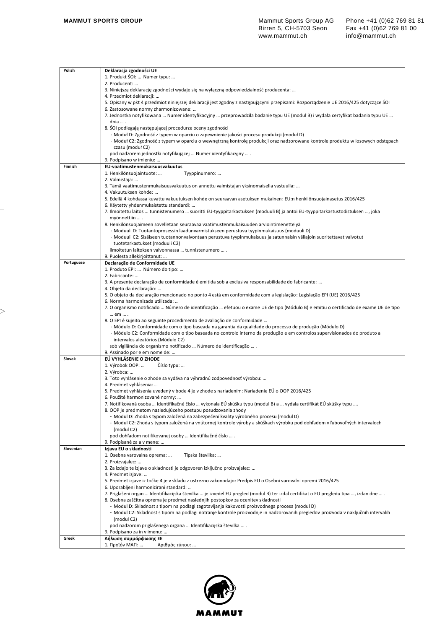| Polish     | Deklaracja zgodności UE                                                                                                                                                            |
|------------|------------------------------------------------------------------------------------------------------------------------------------------------------------------------------------|
|            | 1. Produkt SOI:  Numer typu:                                                                                                                                                       |
|            | 2. Producent:                                                                                                                                                                      |
|            | 3. Niniejszą deklarację zgodności wydaje się na wyłączną odpowiedzialność producenta:                                                                                              |
|            | 4. Przedmiot deklaracji:                                                                                                                                                           |
|            | 5. Opisany w pkt 4 przedmiot niniejszej deklaracji jest zgodny z następującymi przepisami: Rozporządzenie UE 2016/425 dotyczące ŚOI                                                |
|            | 6. Zastosowane normy zharmonizowane:                                                                                                                                               |
|            | 7. Jednostka notyfikowana  Numer identyfikacyjny  przeprowadziła badanie typu UE (moduł B) i wydała certyfikat badania typu UE                                                     |
|            | dnia  .                                                                                                                                                                            |
|            | 8. SOI podlegają następującej procedurze oceny zgodności<br>- Moduł D: Zgodność z typem w oparciu o zapewnienie jakości procesu produkcji (moduł D)                                |
|            | - Moduł C2: Zgodność z typem w oparciu o wewnętrzną kontrolę produkcji oraz nadzorowane kontrole produktu w losowych odstępach                                                     |
|            | czasu (moduł C2)                                                                                                                                                                   |
|            | pod nadzorem jednostki notyfikującej  Numer identyfikacyjny  .                                                                                                                     |
|            | 9. Podpisano w imieniu:                                                                                                                                                            |
| Finnish    | EU-vaatimustenmukaisuusvakuutus                                                                                                                                                    |
|            | 1. Henkilönsuojaintuote:<br>Tyyppinumero:                                                                                                                                          |
|            | 2. Valmistaja:                                                                                                                                                                     |
|            | 3. Tämä vaatimustenmukaisuusvakuutus on annettu valmistajan yksinomaisella vastuulla:                                                                                              |
|            | 4. Vakuutuksen kohde:                                                                                                                                                              |
|            | 5. Edellä 4 kohdassa kuvattu vakuutuksen kohde on seuraavan asetuksen mukainen: EU:n henkilönsuojainasetus 2016/425                                                                |
|            | 6. Käytetty yhdenmukaistettu standardi:                                                                                                                                            |
|            | 7. Ilmoitettu laitos  tunnistenumero  suoritti EU-tyyppitarkastuksen (moduuli B) ja antoi EU-tyyppitarkastustodistuksen , joka                                                     |
|            | myönnettiin  .                                                                                                                                                                     |
|            | 8. Henkilönsuojaimeen sovelletaan seuraavaa vaatimustenmukaisuuden arviointimenettelyä<br>- Moduuli D: Tuotantoprosessin laadunvarmistukseen perustuva tyypinmukaisuus (moduuli D) |
|            | - Moduuli C2: Sisäiseen tuotannonvalvontaan perustuva tyypinmukaisuus ja satunnaisin väliajoin suoritettavat valvotut                                                              |
|            | tuotetarkastukset (moduuli C2)                                                                                                                                                     |
|            | ilmoitetun laitoksen valvonnassa  tunnistenumero  .                                                                                                                                |
|            | 9. Puolesta allekirjoittanut:                                                                                                                                                      |
| Portuguese | Declaração de Conformidade UE                                                                                                                                                      |
|            | 1. Produto EPI:  Número do tipo:                                                                                                                                                   |
|            | 2. Fabricante:                                                                                                                                                                     |
|            | 3. A presente declaração de conformidade é emitida sob a exclusiva responsabilidade do fabricante:                                                                                 |
|            | 4. Objeto da declaração:                                                                                                                                                           |
|            | 5. O objeto da declaração mencionado no ponto 4 está em conformidade com a legislação: Legislação EPI (UE) 2016/425                                                                |
|            | 6. Norma harmonizada utilizada:                                                                                                                                                    |
|            | 7. O organismo notificado  Número de identificação  efetuou o exame UE de tipo (Módulo B) e emitiu o certificado de exame UE de tipo                                               |
|            | em  .<br>8. O EPI é sujeito ao seguinte procedimento de avaliação de conformidade                                                                                                  |
|            | - Módulo D: Conformidade com o tipo baseada na garantia da qualidade do processo de produção (Módulo D)                                                                            |
|            | - Módulo C2: Conformidade com o tipo baseada no controlo interno da produção e em controlos supervisionados do produto a                                                           |
|            | intervalos aleatórios (Módulo C2)                                                                                                                                                  |
|            | sob vigilância do organismo notificado  Número de identificação  .                                                                                                                 |
|            | 9. Assinado por e em nome de:                                                                                                                                                      |
| Slovak     | EÚ VYHLÁSENIE O ZHODE                                                                                                                                                              |
|            | Číslo typu:<br>1. Výrobok OOP:                                                                                                                                                     |
|            | 2. Výrobca:                                                                                                                                                                        |
|            | 3. Toto vyhlásenie o zhode sa vydáva na výhradnú zodpovednosť výrobcu:                                                                                                             |
|            | 4. Predmet vyhlásenia:<br>5. Predmet vyhlásenia uvedený v bode 4 je v zhode s nariadením: Nariadenie EÚ o OOP 2016/425                                                             |
|            | 6. Použité harmonizované normy:                                                                                                                                                    |
|            | 7. Notifikovaná osoba … Identifikačné číslo … vykonala EÚ skúšku typu (modul B) a … vydala certifikát EÚ skúšky typu ….                                                            |
|            | 8. OOP je predmetom nasledujúceho postupu posudzovania zhody                                                                                                                       |
|            | - Modul D: Zhoda s typom založená na zabezpečení kvality výrobného procesu (modul D)                                                                                               |
|            | - Modul C2: Zhoda s typom založená na vnútornej kontrole výroby a skúškach výrobku pod dohľadom v ľubovoľných intervaloch                                                          |
|            | (modul C2)                                                                                                                                                                         |
|            | pod dohľadom notifikovanej osoby  Identifikačné číslo  .                                                                                                                           |
|            | 9. Podpísané za a v mene:                                                                                                                                                          |
| Slovenian  | Izjava EU o skladnosti                                                                                                                                                             |
|            | 1. Osebna varovalna oprema:<br>Tipska številka:                                                                                                                                    |
|            | 2. Proizvajalec:<br>3. Za izdajo te izjave o skladnosti je odgovoren izključno proizvajalec:                                                                                       |
|            | 4. Predmet izjave:                                                                                                                                                                 |
|            | 5. Predmet izjave iz točke 4 je v skladu z ustrezno zakonodajo: Predpis EU o Osebni varovalni opremi 2016/425                                                                      |
|            | 6. Uporabljeni harmonizirani standard:                                                                                                                                             |
|            | 7. Priglašeni organ  Identifikacijska številka  je izvedel EU pregled (modul B) ter izdal certifikat o EU pregledu tipa , izdan dne  .                                             |
|            | 8. Osebna zaščitna oprema je predmet naslednjih postopkov za ocenitev skladnosti                                                                                                   |
|            | - Modul D: Skladnost s tipom na podlagi zagotavljanja kakovosti proizvodnega procesa (modul D)                                                                                     |
|            | - Modul C2: Skladnost s tipom na podlagi notranje kontrole proizvodnje in nadzorovanih pregledov proizvoda v naključnih intervalih                                                 |
|            | (modul C2)                                                                                                                                                                         |
|            | pod nadzorom priglašenega organa  Identifikacijska številka  .                                                                                                                     |
|            | 9. Podpisano za in v imenu:                                                                                                                                                        |
| Greek      | Δήλωση συμμόρφωσης ΕΕ                                                                                                                                                              |
|            | Αριθμός τύπου:<br>1. Προϊόν ΜΑΠ:                                                                                                                                                   |

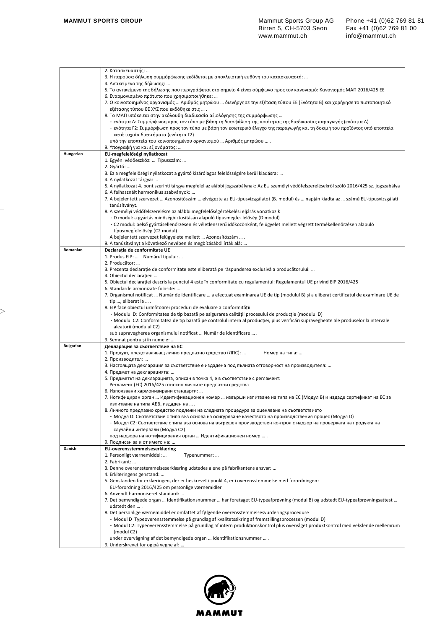|                  | 2. Κατασκευαστής:                                                                                                                                                             |
|------------------|-------------------------------------------------------------------------------------------------------------------------------------------------------------------------------|
|                  | 3. Η παρούσα δήλωση συμμόρφωσης εκδίδεται με αποκλειστική ευθύνη του κατασκευαστή:                                                                                            |
|                  | 4. Αντικείμενο της δήλωσης:                                                                                                                                                   |
|                  | 5. Το αντικείμενο της δήλωσης που περιγράφεται στο σημείο 4 είναι σύμφωνο προς τον κανονισμό: Κανονισμός ΜΑΠ 2016/425 ΕΕ                                                      |
|                  | 6. Εναρμονισμένο πρότυπο που χρησιμοποιήθηκε:                                                                                                                                 |
|                  | 7. Ο κοινοποιημένος οργανισμός … Αριθμός μητρώου … διενήργησε την εξέταση τύπου ΕΕ (Ενότητα Β) και χορήγησε το πιστοποιητικό<br>εξέτασης τύπου ΕΕ ΧΥΖ που εκδόθηκε στις  .    |
|                  | 8. Το ΜΑΠ υπόκειται στην ακόλουθη διαδικασία αξιολόγησης της συμμόρφωσης                                                                                                      |
|                  | - ενότητα Δ: Συμμόρφωση προς τον τύπο με βάση τη διασφάλιση της ποιότητας της διαδικασίας παραγωγής (ενότητα Δ)                                                               |
|                  | - ενότητα Γ2: Συμμόρφωση προς τον τύπο με βάση τον εσωτερικό έλεγχο της παραγωγής και τη δοκιμή του προϊόντος υπό εποπτεία                                                    |
|                  | κατά τυχαία διαστήματα (ενότητα Γ2)                                                                                                                                           |
|                  | υπό την εποπτεία του κοινοποιημένου οργανισμού  Αριθμός μητρώου  .                                                                                                            |
|                  | 9. Υπογραφή για και εξ ονόματος:                                                                                                                                              |
| Hungarian        | EU-megfelelőségi nyilatkozat                                                                                                                                                  |
|                  | 1. Egyéni védőeszköz:  Típusszám:                                                                                                                                             |
|                  | 2. Gyártó:                                                                                                                                                                    |
|                  | 3. Ez a megfelelőségi nyilatkozat a gyártó kizárólagos felelősségére kerül kiadásra:<br>4. A nyilatkozat tárgya:                                                              |
|                  | 5. A nyilatkozat 4. pont szerinti tárgya megfelel az alábbi jogszabálynak: Az EU személyi védőfelszerelésekről szóló 2016/425 sz. jogszabálya                                 |
|                  | 6. A felhasznált harmonikus szabványok:                                                                                                                                       |
|                  | 7. A bejelentett szervezet  Azonosítószám  elvégezte az EU-típusvizsgálatot (B. modul) és  napján kiadta az  számú EU-típusvizsgálati                                         |
|                  | tanúsítványt.                                                                                                                                                                 |
|                  | 8. A személyi védőfelszerelésre az alábbi megfelelőségértékelési eljárás vonatkozik                                                                                           |
|                  | - D modul: a gyártás minőségbiztosításán alapuló típusmegfe- lelőség (D modul)                                                                                                |
|                  | - C2 modul: belső gyártásellenőrzésen és véletlenszerű időközönként, felügyelet mellett végzett termékellenőrzésen alapuló                                                    |
|                  | típusmegfelelőség (C2 modul)                                                                                                                                                  |
|                  | A bejelentett szervezet felügyelete mellett  Azonosítószám  .                                                                                                                 |
| Romanian         | 9. A tanúsítványt a következő nevében és megbízásából írták alá:                                                                                                              |
|                  | Declarația de conformitate UE<br>1. Produs EIP:  Numărul tipului:                                                                                                             |
|                  | 2. Producător:                                                                                                                                                                |
|                  | 3. Prezenta declarație de conformitate este eliberată pe răspunderea exclusivă a producătorului:                                                                              |
|                  | 4. Obiectul declaratiei:                                                                                                                                                      |
|                  | 5. Obiectul declarației descris la punctul 4 este în conformitate cu regulamentul: Regulamentul UE privind EIP 2016/425                                                       |
|                  | 6. Standarde armonizate folosite:                                                                                                                                             |
|                  | 7. Organismul notificat  Număr de identificare  a efectuat examinarea UE de tip (modulul B) și a eliberat certificatul de examinare UE de                                     |
|                  | tip , eliberat la  .                                                                                                                                                          |
|                  | 8. EIP face obiectul următoarei proceduri de evaluare a conformității<br>- Modulul D: Conformitatea de tip bazată pe asigurarea calității procesului de producție (modulul D) |
|                  | - Modulul C2: Conformitatea de tip bazată pe controlul intern al producției, plus verificări supravegheate ale produselor la intervale                                        |
|                  | aleatorii (modulul C2)                                                                                                                                                        |
|                  | sub supravegherea organismului notificat  Număr de identificare  .                                                                                                            |
|                  | 9. Semnat pentru și în numele:                                                                                                                                                |
| <b>Bulgarian</b> | Декларация за съответствие на ЕС                                                                                                                                              |
|                  | 1. Продукт, представляващ лично предпазно средство (ЛПС):<br>Номер на типа:                                                                                                   |
|                  | 2. Производител:                                                                                                                                                              |
|                  | 3. Настоящата декларация за съответствие е издадена под пълната отговорност на производителя:                                                                                 |
|                  | 4. Предмет на декларацията:<br>5. Предметът на декларацията, описан в точка 4, е в съответствие с регламент:                                                                  |
|                  | Регламент (ЕС) 2016/425 относно личните предпазни средства                                                                                                                    |
|                  | 6. Използвани хармонизирани стандарти:                                                                                                                                        |
|                  | 7. Нотифициран орган  Идентификационен номер  извърши изпитване на типа на ЕС (Модул В) и издаде сертификат на ЕС за                                                          |
|                  | изпитване на типа АБВ, издаден на  .                                                                                                                                          |
|                  | 8. Личното предпазно средство подлежи на следната процедура за оценяване на съответствието                                                                                    |
|                  | Модул D: Съответствие с типа въз основа на осигуряване качеството на производствения процес (Модул D)                                                                         |
|                  | - Модул С2: Съответствие с типа въз основа на вътрешен производствен контрол с надзор на проверката на продукта на                                                            |
|                  | случайни интервали (Модул С2)<br>под надзора на нотифицирания орган  Идентификационен номер  .                                                                                |
|                  | 9. Подписан за и от името на:                                                                                                                                                 |
| Danish           | EU-overensstemmelseserklæring                                                                                                                                                 |
|                  | 1. Personligt værnemiddel:<br>Typenummer:                                                                                                                                     |
|                  | 2. Fabrikant:                                                                                                                                                                 |
|                  | 3. Denne overensstemmelseserklæring udstedes alene på fabrikantens ansvar:                                                                                                    |
|                  | 4. Erklæringens genstand:                                                                                                                                                     |
|                  | 5. Genstanden for erklæringen, der er beskrevet i punkt 4, er i overensstemmelse med forordningen:                                                                            |
|                  | EU-forordning 2016/425 om personlige værnemidler<br>6. Anvendt harmoniseret standard:                                                                                         |
|                  | 7. Det bemyndigede organ  Identifikationsnummer  har foretaget EU-typeafprøvning (modul B) og udstedt EU-typeafprøvningsattest                                                |
|                  | udstedt den  .                                                                                                                                                                |
|                  | 8. Det personlige værnemiddel er omfattet af følgende overensstemmelsesvurderingsprocedure                                                                                    |
|                  | - Modul D Typeoverensstemmelse på grundlag af kvalitetssikring af fremstillingsprocessen (modul D)                                                                            |
|                  | - Modul C2: Typeoverensstemmelse på grundlag af intern produktionskontrol plus overvåget produktkontrol med vekslende mellemrum                                               |
|                  | (modul C2)                                                                                                                                                                    |
|                  | under overvågning af det bemyndigede organ  Identifikationsnummer  .                                                                                                          |
|                  | 9. Underskrevet for og på vegne af:                                                                                                                                           |